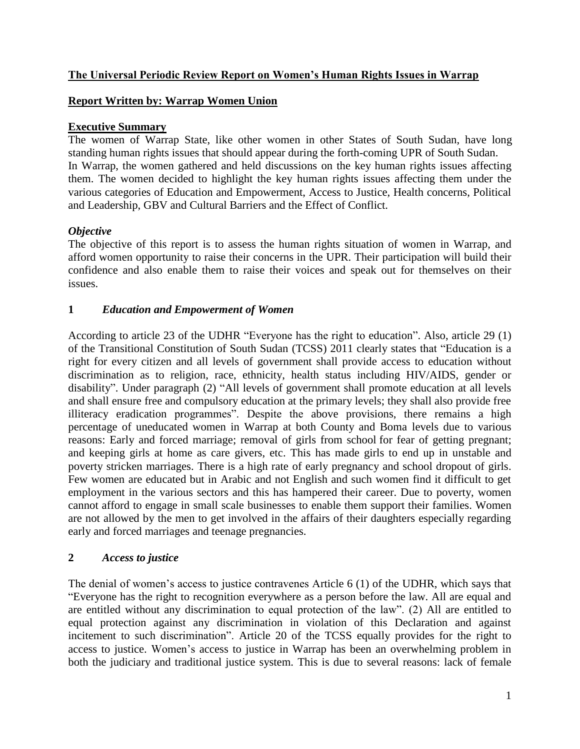## **The Universal Periodic Review Report on Women's Human Rights Issues in Warrap**

## **Report Written by: Warrap Women Union**

## **Executive Summary**

The women of Warrap State, like other women in other States of South Sudan, have long standing human rights issues that should appear during the forth-coming UPR of South Sudan. In Warrap, the women gathered and held discussions on the key human rights issues affecting them. The women decided to highlight the key human rights issues affecting them under the various categories of Education and Empowerment, Access to Justice, Health concerns, Political and Leadership, GBV and Cultural Barriers and the Effect of Conflict.

# *Objective*

The objective of this report is to assess the human rights situation of women in Warrap, and afford women opportunity to raise their concerns in the UPR. Their participation will build their confidence and also enable them to raise their voices and speak out for themselves on their issues.

# **1** *Education and Empowerment of Women*

According to article 23 of the UDHR "Everyone has the right to education". Also, article 29 (1) of the Transitional Constitution of South Sudan (TCSS) 2011 clearly states that "Education is a right for every citizen and all levels of government shall provide access to education without discrimination as to religion, race, ethnicity, health status including HIV/AIDS, gender or disability". Under paragraph (2) "All levels of government shall promote education at all levels and shall ensure free and compulsory education at the primary levels; they shall also provide free illiteracy eradication programmes". Despite the above provisions, there remains a high percentage of uneducated women in Warrap at both County and Boma levels due to various reasons: Early and forced marriage; removal of girls from school for fear of getting pregnant; and keeping girls at home as care givers, etc. This has made girls to end up in unstable and poverty stricken marriages. There is a high rate of early pregnancy and school dropout of girls. Few women are educated but in Arabic and not English and such women find it difficult to get employment in the various sectors and this has hampered their career. Due to poverty, women cannot afford to engage in small scale businesses to enable them support their families. Women are not allowed by the men to get involved in the affairs of their daughters especially regarding early and forced marriages and teenage pregnancies.

#### **2** *Access to justice*

The denial of women's access to justice contravenes Article 6 (1) of the UDHR, which says that "Everyone has the right to recognition everywhere as a person before the law. All are equal and are entitled without any discrimination to equal protection of the law". (2) All are entitled to equal protection against any discrimination in violation of this Declaration and against incitement to such discrimination". Article 20 of the TCSS equally provides for the right to access to justice. Women's access to justice in Warrap has been an overwhelming problem in both the judiciary and traditional justice system. This is due to several reasons: lack of female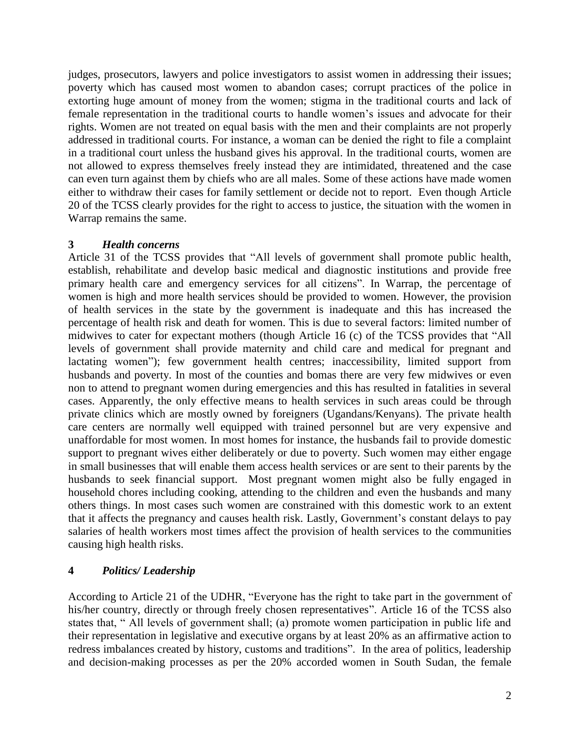judges, prosecutors, lawyers and police investigators to assist women in addressing their issues; poverty which has caused most women to abandon cases; corrupt practices of the police in extorting huge amount of money from the women; stigma in the traditional courts and lack of female representation in the traditional courts to handle women's issues and advocate for their rights. Women are not treated on equal basis with the men and their complaints are not properly addressed in traditional courts. For instance, a woman can be denied the right to file a complaint in a traditional court unless the husband gives his approval. In the traditional courts, women are not allowed to express themselves freely instead they are intimidated, threatened and the case can even turn against them by chiefs who are all males. Some of these actions have made women either to withdraw their cases for family settlement or decide not to report. Even though Article 20 of the TCSS clearly provides for the right to access to justice, the situation with the women in Warrap remains the same.

#### **3** *Health concerns*

Article 31 of the TCSS provides that "All levels of government shall promote public health, establish, rehabilitate and develop basic medical and diagnostic institutions and provide free primary health care and emergency services for all citizens". In Warrap, the percentage of women is high and more health services should be provided to women. However, the provision of health services in the state by the government is inadequate and this has increased the percentage of health risk and death for women. This is due to several factors: limited number of midwives to cater for expectant mothers (though Article 16 (c) of the TCSS provides that "All levels of government shall provide maternity and child care and medical for pregnant and lactating women"); few government health centres; inaccessibility, limited support from husbands and poverty. In most of the counties and bomas there are very few midwives or even non to attend to pregnant women during emergencies and this has resulted in fatalities in several cases. Apparently, the only effective means to health services in such areas could be through private clinics which are mostly owned by foreigners (Ugandans/Kenyans). The private health care centers are normally well equipped with trained personnel but are very expensive and unaffordable for most women. In most homes for instance, the husbands fail to provide domestic support to pregnant wives either deliberately or due to poverty. Such women may either engage in small businesses that will enable them access health services or are sent to their parents by the husbands to seek financial support. Most pregnant women might also be fully engaged in household chores including cooking, attending to the children and even the husbands and many others things. In most cases such women are constrained with this domestic work to an extent that it affects the pregnancy and causes health risk. Lastly, Government's constant delays to pay salaries of health workers most times affect the provision of health services to the communities causing high health risks.

#### **4** *Politics/ Leadership*

According to Article 21 of the UDHR, "Everyone has the right to take part in the government of his/her country, directly or through freely chosen representatives". Article 16 of the TCSS also states that, " All levels of government shall; (a) promote women participation in public life and their representation in legislative and executive organs by at least 20% as an affirmative action to redress imbalances created by history, customs and traditions". In the area of politics, leadership and decision-making processes as per the 20% accorded women in South Sudan, the female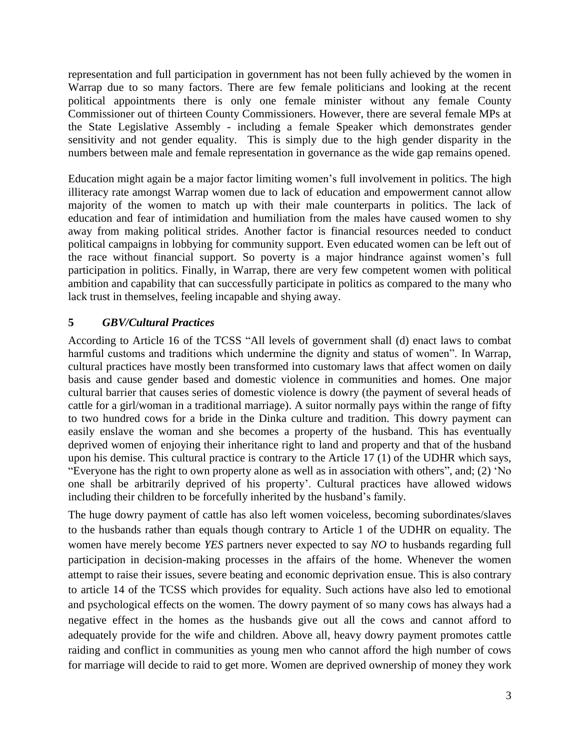representation and full participation in government has not been fully achieved by the women in Warrap due to so many factors. There are few female politicians and looking at the recent political appointments there is only one female minister without any female County Commissioner out of thirteen County Commissioners. However, there are several female MPs at the State Legislative Assembly - including a female Speaker which demonstrates gender sensitivity and not gender equality. This is simply due to the high gender disparity in the numbers between male and female representation in governance as the wide gap remains opened.

Education might again be a major factor limiting women's full involvement in politics. The high illiteracy rate amongst Warrap women due to lack of education and empowerment cannot allow majority of the women to match up with their male counterparts in politics. The lack of education and fear of intimidation and humiliation from the males have caused women to shy away from making political strides. Another factor is financial resources needed to conduct political campaigns in lobbying for community support. Even educated women can be left out of the race without financial support. So poverty is a major hindrance against women's full participation in politics. Finally, in Warrap, there are very few competent women with political ambition and capability that can successfully participate in politics as compared to the many who lack trust in themselves, feeling incapable and shying away.

# **5** *GBV/Cultural Practices*

According to Article 16 of the TCSS "All levels of government shall (d) enact laws to combat harmful customs and traditions which undermine the dignity and status of women". In Warrap, cultural practices have mostly been transformed into customary laws that affect women on daily basis and cause gender based and domestic violence in communities and homes. One major cultural barrier that causes series of domestic violence is dowry (the payment of several heads of cattle for a girl/woman in a traditional marriage). A suitor normally pays within the range of fifty to two hundred cows for a bride in the Dinka culture and tradition. This dowry payment can easily enslave the woman and she becomes a property of the husband. This has eventually deprived women of enjoying their inheritance right to land and property and that of the husband upon his demise. This cultural practice is contrary to the Article 17 (1) of the UDHR which says, "Everyone has the right to own property alone as well as in association with others", and; (2) 'No one shall be arbitrarily deprived of his property'. Cultural practices have allowed widows including their children to be forcefully inherited by the husband's family.

The huge dowry payment of cattle has also left women voiceless, becoming subordinates/slaves to the husbands rather than equals though contrary to Article 1 of the UDHR on equality. The women have merely become *YES* partners never expected to say *NO* to husbands regarding full participation in decision-making processes in the affairs of the home. Whenever the women attempt to raise their issues, severe beating and economic deprivation ensue. This is also contrary to article 14 of the TCSS which provides for equality. Such actions have also led to emotional and psychological effects on the women. The dowry payment of so many cows has always had a negative effect in the homes as the husbands give out all the cows and cannot afford to adequately provide for the wife and children. Above all, heavy dowry payment promotes cattle raiding and conflict in communities as young men who cannot afford the high number of cows for marriage will decide to raid to get more. Women are deprived ownership of money they work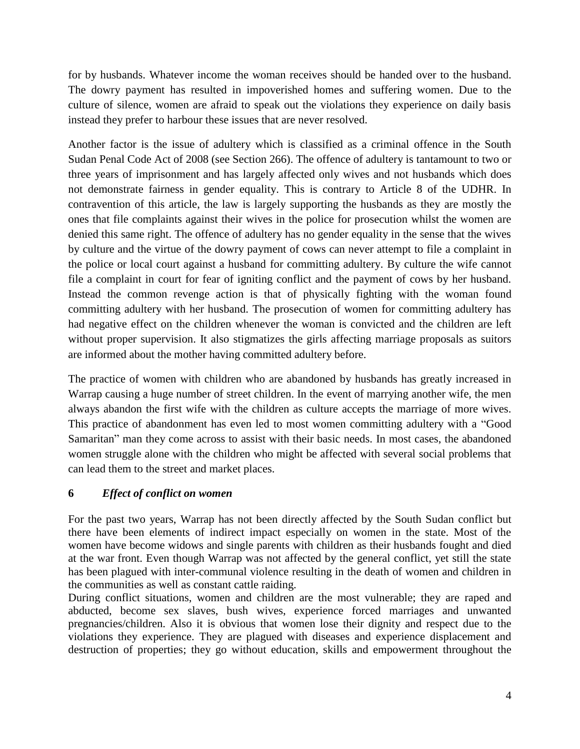for by husbands. Whatever income the woman receives should be handed over to the husband. The dowry payment has resulted in impoverished homes and suffering women. Due to the culture of silence, women are afraid to speak out the violations they experience on daily basis instead they prefer to harbour these issues that are never resolved.

Another factor is the issue of adultery which is classified as a criminal offence in the South Sudan Penal Code Act of 2008 (see Section 266). The offence of adultery is tantamount to two or three years of imprisonment and has largely affected only wives and not husbands which does not demonstrate fairness in gender equality. This is contrary to Article 8 of the UDHR. In contravention of this article, the law is largely supporting the husbands as they are mostly the ones that file complaints against their wives in the police for prosecution whilst the women are denied this same right. The offence of adultery has no gender equality in the sense that the wives by culture and the virtue of the dowry payment of cows can never attempt to file a complaint in the police or local court against a husband for committing adultery. By culture the wife cannot file a complaint in court for fear of igniting conflict and the payment of cows by her husband. Instead the common revenge action is that of physically fighting with the woman found committing adultery with her husband. The prosecution of women for committing adultery has had negative effect on the children whenever the woman is convicted and the children are left without proper supervision. It also stigmatizes the girls affecting marriage proposals as suitors are informed about the mother having committed adultery before.

The practice of women with children who are abandoned by husbands has greatly increased in Warrap causing a huge number of street children. In the event of marrying another wife, the men always abandon the first wife with the children as culture accepts the marriage of more wives. This practice of abandonment has even led to most women committing adultery with a "Good Samaritan" man they come across to assist with their basic needs. In most cases, the abandoned women struggle alone with the children who might be affected with several social problems that can lead them to the street and market places.

# **6** *Effect of conflict on women*

For the past two years, Warrap has not been directly affected by the South Sudan conflict but there have been elements of indirect impact especially on women in the state. Most of the women have become widows and single parents with children as their husbands fought and died at the war front. Even though Warrap was not affected by the general conflict, yet still the state has been plagued with inter-communal violence resulting in the death of women and children in the communities as well as constant cattle raiding.

During conflict situations, women and children are the most vulnerable; they are raped and abducted, become sex slaves, bush wives, experience forced marriages and unwanted pregnancies/children. Also it is obvious that women lose their dignity and respect due to the violations they experience. They are plagued with diseases and experience displacement and destruction of properties; they go without education, skills and empowerment throughout the